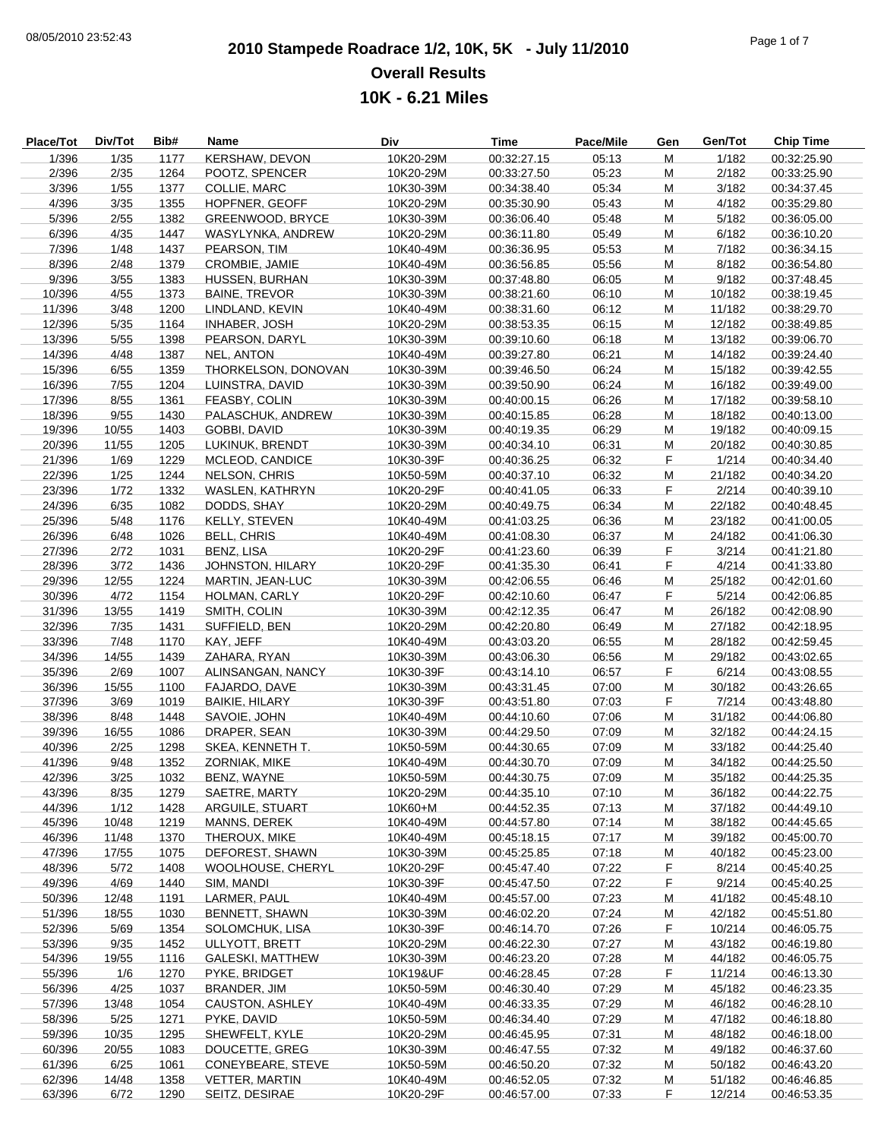## **2010 Stampede Roadrace 1/2, 10K, 5K - July 11/2010** 08/05/2010 23:52:43 Page 1 of 7 **Overall Results 10K - 6.21 Miles**

| <b>Place/Tot</b> | Div/Tot | Bib# | Name                    | Div       | Time        | Pace/Mile | Gen | Gen/Tot | <b>Chip Time</b> |
|------------------|---------|------|-------------------------|-----------|-------------|-----------|-----|---------|------------------|
| 1/396            | 1/35    | 1177 | KERSHAW, DEVON          | 10K20-29M | 00:32:27.15 | 05:13     | M   | 1/182   | 00:32:25.90      |
| 2/396            | 2/35    | 1264 | POOTZ, SPENCER          | 10K20-29M | 00:33:27.50 | 05:23     | M   | 2/182   | 00:33:25.90      |
| 3/396            | 1/55    | 1377 | COLLIE, MARC            | 10K30-39M | 00:34:38.40 | 05:34     | M   | 3/182   | 00:34:37.45      |
| 4/396            | 3/35    | 1355 | HOPFNER, GEOFF          | 10K20-29M | 00:35:30.90 | 05:43     | M   | 4/182   | 00:35:29.80      |
| 5/396            | 2/55    | 1382 | GREENWOOD, BRYCE        | 10K30-39M | 00:36:06.40 | 05:48     | M   | 5/182   | 00:36:05.00      |
| 6/396            | 4/35    | 1447 | WASYLYNKA, ANDREW       | 10K20-29M | 00:36:11.80 | 05:49     | M   | 6/182   | 00:36:10.20      |
| 7/396            | 1/48    | 1437 | PEARSON, TIM            | 10K40-49M | 00:36:36.95 | 05:53     | M   | 7/182   | 00:36:34.15      |
| 8/396            | 2/48    | 1379 | CROMBIE, JAMIE          | 10K40-49M | 00:36:56.85 | 05:56     | M   | 8/182   | 00:36:54.80      |
| 9/396            | 3/55    | 1383 | HUSSEN, BURHAN          | 10K30-39M | 00:37:48.80 | 06:05     | M   | 9/182   | 00:37:48.45      |
| 10/396           | 4/55    | 1373 | <b>BAINE, TREVOR</b>    | 10K30-39M | 00:38:21.60 | 06:10     | M   | 10/182  | 00:38:19.45      |
| 11/396           | 3/48    | 1200 | LINDLAND, KEVIN         | 10K40-49M | 00:38:31.60 | 06:12     | M   | 11/182  | 00:38:29.70      |
| 12/396           | 5/35    | 1164 | <b>INHABER, JOSH</b>    | 10K20-29M | 00:38:53.35 | 06:15     | M   | 12/182  | 00:38:49.85      |
| 13/396           | 5/55    | 1398 | PEARSON, DARYL          | 10K30-39M | 00:39:10.60 | 06:18     | M   | 13/182  | 00:39:06.70      |
| 14/396           | 4/48    | 1387 | <b>NEL, ANTON</b>       | 10K40-49M | 00:39:27.80 | 06:21     | M   | 14/182  | 00:39:24.40      |
| 15/396           | 6/55    | 1359 | THORKELSON, DONOVAN     | 10K30-39M | 00:39:46.50 | 06:24     | M   | 15/182  | 00:39:42.55      |
| 16/396           | 7/55    | 1204 | LUINSTRA, DAVID         | 10K30-39M | 00:39:50.90 | 06:24     | M   | 16/182  | 00:39:49.00      |
| 17/396           | 8/55    | 1361 | FEASBY, COLIN           | 10K30-39M | 00:40:00.15 | 06:26     | M   | 17/182  | 00:39:58.10      |
| 18/396           | 9/55    | 1430 | PALASCHUK, ANDREW       | 10K30-39M | 00:40:15.85 | 06:28     | M   | 18/182  | 00:40:13.00      |
| 19/396           | 10/55   | 1403 | GOBBI, DAVID            | 10K30-39M | 00:40:19.35 | 06:29     | M   | 19/182  | 00:40:09.15      |
| 20/396           | 11/55   | 1205 | LUKINUK, BRENDT         | 10K30-39M | 00:40:34.10 | 06:31     | M   | 20/182  | 00:40:30.85      |
| 21/396           | 1/69    | 1229 | MCLEOD, CANDICE         | 10K30-39F | 00:40:36.25 | 06:32     | F   | 1/214   | 00:40:34.40      |
| 22/396           | 1/25    | 1244 | <b>NELSON, CHRIS</b>    | 10K50-59M | 00:40:37.10 | 06:32     | M   | 21/182  | 00:40:34.20      |
| 23/396           | 1/72    | 1332 | WASLEN, KATHRYN         | 10K20-29F | 00:40:41.05 | 06:33     | F   | 2/214   | 00:40:39.10      |
| 24/396           | 6/35    | 1082 | DODDS, SHAY             | 10K20-29M | 00:40:49.75 | 06:34     | М   | 22/182  | 00:40:48.45      |
| 25/396           | 5/48    | 1176 | KELLY, STEVEN           | 10K40-49M | 00:41:03.25 | 06:36     | M   | 23/182  | 00:41:00.05      |
| 26/396           | 6/48    | 1026 | <b>BELL, CHRIS</b>      | 10K40-49M | 00:41:08.30 | 06:37     | M   | 24/182  | 00:41:06.30      |
| 27/396           | 2/72    | 1031 | BENZ, LISA              | 10K20-29F | 00:41:23.60 | 06:39     | F   | 3/214   | 00:41:21.80      |
| 28/396           | 3/72    | 1436 | JOHNSTON, HILARY        | 10K20-29F | 00:41:35.30 | 06:41     | F   | 4/214   | 00:41:33.80      |
| 29/396           | 12/55   | 1224 | MARTIN, JEAN-LUC        | 10K30-39M | 00:42:06.55 | 06:46     | M   | 25/182  | 00:42:01.60      |
| 30/396           | 4/72    | 1154 | HOLMAN, CARLY           | 10K20-29F | 00:42:10.60 | 06:47     | F   | 5/214   | 00:42:06.85      |
| 31/396           | 13/55   | 1419 | SMITH, COLIN            | 10K30-39M | 00:42:12.35 | 06:47     | M   | 26/182  | 00:42:08.90      |
| 32/396           | 7/35    | 1431 | SUFFIELD, BEN           | 10K20-29M | 00:42:20.80 | 06:49     | M   | 27/182  | 00:42:18.95      |
| 33/396           | 7/48    | 1170 | KAY, JEFF               | 10K40-49M | 00:43:03.20 | 06:55     | M   | 28/182  | 00:42:59.45      |
| 34/396           | 14/55   | 1439 | ZAHARA, RYAN            | 10K30-39M | 00:43:06.30 | 06:56     | M   | 29/182  | 00:43:02.65      |
| 35/396           | 2/69    | 1007 | ALINSANGAN, NANCY       | 10K30-39F | 00:43:14.10 | 06:57     | F   | 6/214   | 00:43:08.55      |
| 36/396           | 15/55   | 1100 | FAJARDO, DAVE           | 10K30-39M | 00:43:31.45 | 07:00     | M   | 30/182  | 00:43:26.65      |
| 37/396           | 3/69    | 1019 | <b>BAIKIE, HILARY</b>   | 10K30-39F | 00:43:51.80 | 07:03     | F   | 7/214   | 00:43:48.80      |
| 38/396           | 8/48    | 1448 | SAVOIE, JOHN            | 10K40-49M | 00:44:10.60 | 07:06     | M   | 31/182  | 00:44:06.80      |
| 39/396           | 16/55   | 1086 | DRAPER, SEAN            | 10K30-39M | 00:44:29.50 | 07:09     | M   | 32/182  | 00:44:24.15      |
| 40/396           | 2/25    | 1298 | SKEA, KENNETH T.        | 10K50-59M | 00:44:30.65 | 07:09     | M   | 33/182  | 00:44:25.40      |
| 41/396           | 9/48    | 1352 | ZORNIAK, MIKE           | 10K40-49M | 00:44:30.70 | 07:09     | M   | 34/182  | 00:44:25.50      |
| 42/396           | 3/25    | 1032 | BENZ, WAYNE             | 10K50-59M | 00:44:30.75 | 07:09     | M   | 35/182  | 00:44:25.35      |
| 43/396           | 8/35    | 1279 | SAETRE, MARTY           | 10K20-29M | 00:44:35.10 | 07:10     | м   | 36/182  | 00:44:22.75      |
| 44/396           | 1/12    | 1428 | ARGUILE, STUART         | 10K60+M   | 00:44:52.35 | 07:13     | M   | 37/182  | 00:44:49.10      |
| 45/396           | 10/48   | 1219 | MANNS, DEREK            | 10K40-49M | 00:44:57.80 | 07:14     | M   | 38/182  | 00:44:45.65      |
| 46/396           | 11/48   | 1370 | THEROUX, MIKE           | 10K40-49M | 00:45:18.15 | 07:17     | M   | 39/182  | 00:45:00.70      |
| 47/396           | 17/55   | 1075 | DEFOREST, SHAWN         | 10K30-39M | 00:45:25.85 | 07:18     | M   | 40/182  | 00:45:23.00      |
| 48/396           | 5/72    | 1408 | WOOLHOUSE, CHERYL       | 10K20-29F | 00:45:47.40 | 07:22     | F   | 8/214   | 00:45:40.25      |
| 49/396           | 4/69    | 1440 | SIM, MANDI              | 10K30-39F | 00:45:47.50 | 07:22     | F   | 9/214   | 00:45:40.25      |
| 50/396           | 12/48   | 1191 | LARMER, PAUL            | 10K40-49M | 00:45:57.00 | 07:23     | M   | 41/182  | 00:45:48.10      |
| 51/396           | 18/55   | 1030 | BENNETT, SHAWN          | 10K30-39M | 00:46:02.20 | 07:24     | M   | 42/182  | 00:45:51.80      |
| 52/396           | 5/69    | 1354 | SOLOMCHUK, LISA         | 10K30-39F | 00:46:14.70 | 07:26     | F.  | 10/214  | 00:46:05.75      |
| 53/396           | 9/35    | 1452 | ULLYOTT, BRETT          | 10K20-29M | 00:46:22.30 | 07:27     | M   | 43/182  | 00:46:19.80      |
| 54/396           | 19/55   | 1116 | <b>GALESKI, MATTHEW</b> | 10K30-39M | 00:46:23.20 | 07:28     | M   | 44/182  | 00:46:05.75      |
| 55/396           | 1/6     | 1270 | PYKE, BRIDGET           | 10K19&UF  | 00:46:28.45 | 07:28     | F   | 11/214  | 00:46:13.30      |
| 56/396           | 4/25    | 1037 | BRANDER, JIM            | 10K50-59M | 00:46:30.40 | 07:29     | М   | 45/182  | 00:46:23.35      |
| 57/396           | 13/48   | 1054 | CAUSTON, ASHLEY         | 10K40-49M | 00:46:33.35 | 07:29     | М   | 46/182  | 00:46:28.10      |
| 58/396           | 5/25    | 1271 | PYKE, DAVID             | 10K50-59M | 00:46:34.40 | 07:29     | M   | 47/182  | 00:46:18.80      |
| 59/396           | 10/35   | 1295 | SHEWFELT, KYLE          | 10K20-29M | 00:46:45.95 | 07:31     | M   | 48/182  | 00:46:18.00      |
| 60/396           | 20/55   | 1083 | DOUCETTE, GREG          | 10K30-39M | 00:46:47.55 | 07:32     | м   | 49/182  | 00:46:37.60      |
| 61/396           | 6/25    | 1061 | CONEYBEARE, STEVE       | 10K50-59M | 00:46:50.20 | 07:32     | M   | 50/182  | 00:46:43.20      |
| 62/396           | 14/48   | 1358 | <b>VETTER, MARTIN</b>   | 10K40-49M | 00:46:52.05 | 07:32     | M   | 51/182  | 00:46:46.85      |
| 63/396           | 6/72    | 1290 | SEITZ, DESIRAE          | 10K20-29F | 00:46:57.00 | 07:33     | F   | 12/214  | 00:46:53.35      |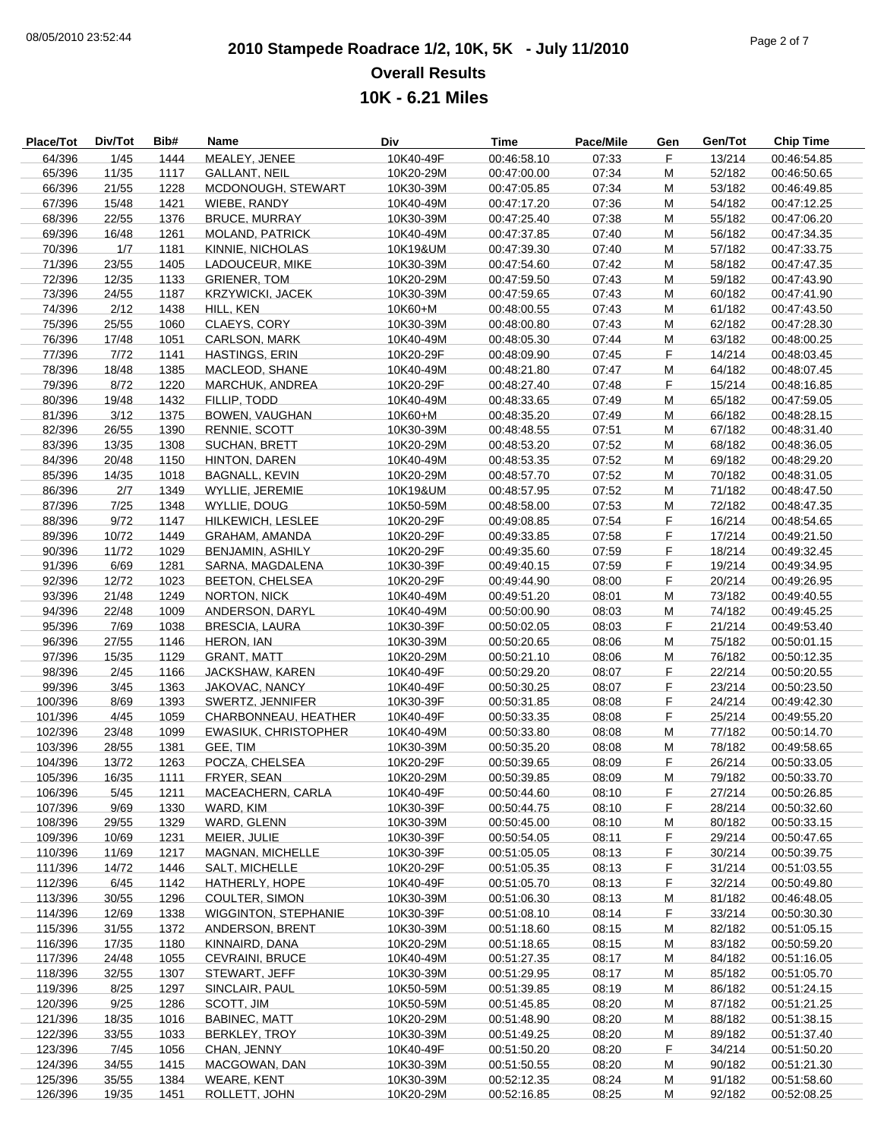$\frac{1}{2}$  $\frac{1}{2}$ Ĭ.  $\overline{\phantom{a}}$ 

## **2010 Stampede Roadrace 1/2, 10K, 5K - July 11/2010** 08/05/2010 23:52:44 Page 2 of 7 **Overall Results 10K - 6.21 Miles**

| Place/Tot | Div/Tot | Bib# | Name                        | Div       | <b>Time</b> | Pace/Mile | Gen | Gen/Tot | <b>Chip Time</b> |
|-----------|---------|------|-----------------------------|-----------|-------------|-----------|-----|---------|------------------|
| 64/396    | 1/45    | 1444 | MEALEY, JENEE               | 10K40-49F | 00:46:58.10 | 07:33     | F.  | 13/214  | 00:46:54.85      |
| 65/396    | 11/35   | 1117 | GALLANT, NEIL               | 10K20-29M | 00:47:00.00 | 07:34     | M   | 52/182  | 00:46:50.65      |
| 66/396    | 21/55   | 1228 | MCDONOUGH, STEWART          | 10K30-39M | 00:47:05.85 | 07:34     | M   | 53/182  | 00:46:49.85      |
|           |         |      |                             |           |             |           | M   |         |                  |
| 67/396    | 15/48   | 1421 | WIEBE, RANDY                | 10K40-49M | 00:47:17.20 | 07:36     |     | 54/182  | 00:47:12.25      |
| 68/396    | 22/55   | 1376 | <b>BRUCE, MURRAY</b>        | 10K30-39M | 00:47:25.40 | 07:38     | M   | 55/182  | 00:47:06.20      |
| 69/396    | 16/48   | 1261 | <b>MOLAND, PATRICK</b>      | 10K40-49M | 00:47:37.85 | 07:40     | M   | 56/182  | 00:47:34.35      |
| 70/396    | 1/7     | 1181 | KINNIE, NICHOLAS            | 10K19&UM  | 00:47:39.30 | 07:40     | M   | 57/182  | 00:47:33.75      |
| 71/396    | 23/55   | 1405 | LADOUCEUR, MIKE             | 10K30-39M | 00:47:54.60 | 07:42     | M   | 58/182  | 00:47:47.35      |
| 72/396    | 12/35   | 1133 | <b>GRIENER, TOM</b>         | 10K20-29M | 00:47:59.50 | 07:43     | M   | 59/182  | 00:47:43.90      |
| 73/396    | 24/55   | 1187 | <b>KRZYWICKI, JACEK</b>     | 10K30-39M | 00:47:59.65 | 07:43     | M   | 60/182  | 00:47:41.90      |
| 74/396    |         |      |                             |           |             |           |     |         |                  |
|           | 2/12    | 1438 | HILL, KEN                   | 10K60+M   | 00:48:00.55 | 07:43     | M   | 61/182  | 00:47:43.50      |
| 75/396    | 25/55   | 1060 | CLAEYS, CORY                | 10K30-39M | 00:48:00.80 | 07:43     | M   | 62/182  | 00:47:28.30      |
| 76/396    | 17/48   | 1051 | <b>CARLSON, MARK</b>        | 10K40-49M | 00:48:05.30 | 07:44     | M   | 63/182  | 00:48:00.25      |
| 77/396    | 7/72    | 1141 | <b>HASTINGS, ERIN</b>       | 10K20-29F | 00:48:09.90 | 07:45     | F.  | 14/214  | 00:48:03.45      |
| 78/396    | 18/48   | 1385 | MACLEOD, SHANE              | 10K40-49M | 00:48:21.80 | 07:47     | M   | 64/182  | 00:48:07.45      |
| 79/396    | 8/72    | 1220 | MARCHUK, ANDREA             | 10K20-29F | 00:48:27.40 | 07:48     | F   | 15/214  | 00:48:16.85      |
| 80/396    | 19/48   | 1432 | FILLIP, TODD                | 10K40-49M | 00:48:33.65 | 07:49     | M   | 65/182  | 00:47:59.05      |
| 81/396    | 3/12    | 1375 | BOWEN, VAUGHAN              | 10K60+M   | 00:48:35.20 | 07:49     | M   | 66/182  | 00:48:28.15      |
|           |         |      |                             |           |             |           |     |         |                  |
| 82/396    | 26/55   | 1390 | RENNIE, SCOTT               | 10K30-39M | 00:48:48.55 | 07:51     | M   | 67/182  | 00:48:31.40      |
| 83/396    | 13/35   | 1308 | <b>SUCHAN, BRETT</b>        | 10K20-29M | 00:48:53.20 | 07:52     | M   | 68/182  | 00:48:36.05      |
| 84/396    | 20/48   | 1150 | HINTON, DAREN               | 10K40-49M | 00:48:53.35 | 07:52     | M   | 69/182  | 00:48:29.20      |
| 85/396    | 14/35   | 1018 | BAGNALL, KEVIN              | 10K20-29M | 00:48:57.70 | 07:52     | M   | 70/182  | 00:48:31.05      |
| 86/396    | 2/7     | 1349 | WYLLIE, JEREMIE             | 10K19&UM  | 00:48:57.95 | 07:52     | M   | 71/182  | 00:48:47.50      |
| 87/396    | 7/25    | 1348 | <b>WYLLIE, DOUG</b>         | 10K50-59M | 00:48:58.00 | 07:53     | M   | 72/182  | 00:48:47.35      |
| 88/396    | 9/72    | 1147 | HILKEWICH, LESLEE           | 10K20-29F | 00:49:08.85 | 07:54     | F.  | 16/214  | 00:48:54.65      |
|           |         |      |                             |           |             |           | F.  |         |                  |
| 89/396    | 10/72   | 1449 | <b>GRAHAM, AMANDA</b>       | 10K20-29F | 00:49:33.85 | 07:58     |     | 17/214  | 00:49:21.50      |
| 90/396    | 11/72   | 1029 | <b>BENJAMIN, ASHILY</b>     | 10K20-29F | 00:49:35.60 | 07:59     | F   | 18/214  | 00:49:32.45      |
| 91/396    | 6/69    | 1281 | SARNA, MAGDALENA            | 10K30-39F | 00:49:40.15 | 07:59     | F.  | 19/214  | 00:49:34.95      |
| 92/396    | 12/72   | 1023 | <b>BEETON, CHELSEA</b>      | 10K20-29F | 00:49:44.90 | 08:00     | F.  | 20/214  | 00:49:26.95      |
| 93/396    | 21/48   | 1249 | NORTON, NICK                | 10K40-49M | 00:49:51.20 | 08:01     | M   | 73/182  | 00:49:40.55      |
| 94/396    | 22/48   | 1009 | ANDERSON, DARYL             | 10K40-49M | 00:50:00.90 | 08:03     | M   | 74/182  | 00:49:45.25      |
| 95/396    | 7/69    | 1038 | <b>BRESCIA, LAURA</b>       | 10K30-39F | 00:50:02.05 | 08:03     | F.  | 21/214  | 00:49:53.40      |
| 96/396    | 27/55   | 1146 | HERON, IAN                  | 10K30-39M | 00:50:20.65 | 08:06     | M   | 75/182  | 00:50:01.15      |
|           |         |      |                             |           |             |           |     |         |                  |
| 97/396    | 15/35   | 1129 | <b>GRANT, MATT</b>          | 10K20-29M | 00:50:21.10 | 08:06     | M   | 76/182  | 00:50:12.35      |
| 98/396    | 2/45    | 1166 | JACKSHAW, KAREN             | 10K40-49F | 00:50:29.20 | 08:07     | F   | 22/214  | 00:50:20.55      |
| 99/396    | 3/45    | 1363 | JAKOVAC, NANCY              | 10K40-49F | 00:50:30.25 | 08:07     | F.  | 23/214  | 00:50:23.50      |
| 100/396   | 8/69    | 1393 | SWERTZ, JENNIFER            | 10K30-39F | 00:50:31.85 | 08:08     | F.  | 24/214  | 00:49:42.30      |
| 101/396   | 4/45    | 1059 | CHARBONNEAU, HEATHER        | 10K40-49F | 00:50:33.35 | 08:08     | F.  | 25/214  | 00:49:55.20      |
| 102/396   | 23/48   | 1099 | <b>EWASIUK, CHRISTOPHER</b> | 10K40-49M | 00:50:33.80 | 08:08     | M   | 77/182  | 00:50:14.70      |
| 103/396   | 28/55   | 1381 | GEE, TIM                    | 10K30-39M | 00:50:35.20 | 08:08     | M   | 78/182  | 00:49:58.65      |
|           |         |      |                             |           |             |           |     |         |                  |
| 104/396   | 13/72   | 1263 | POCZA, CHELSEA              | 10K20-29F | 00:50:39.65 | 08:09     | F.  | 26/214  | 00:50:33.05      |
| 105/396   | 16/35   | 1111 | FRYER, SEAN                 | 10K20-29M | 00:50:39.85 | 08:09     | M   | 79/182  | 00:50:33.70      |
| 106/396   | 5/45    | 1211 | MACEACHERN, CARLA           | 10K40-49F | 00:50:44.60 | 08:10     | F   | 27/214  | 00:50:26.85      |
| 107/396   | 9/69    | 1330 | WARD, KIM                   | 10K30-39F | 00:50:44.75 | 08:10     | F.  | 28/214  | 00:50:32.60      |
| 108/396   | 29/55   | 1329 | WARD, GLENN                 | 10K30-39M | 00:50:45.00 | 08:10     | M   | 80/182  | 00:50:33.15      |
| 109/396   | 10/69   | 1231 | MEIER, JULIE                | 10K30-39F | 00:50:54.05 | 08:11     | F.  | 29/214  | 00:50:47.65      |
| 110/396   | 11/69   | 1217 | MAGNAN, MICHELLE            | 10K30-39F | 00:51:05.05 | 08:13     | F   | 30/214  | 00:50:39.75      |
|           |         |      |                             |           |             |           |     |         |                  |
| 111/396   | 14/72   | 1446 | SALT, MICHELLE              | 10K20-29F | 00:51:05.35 | 08:13     | F.  | 31/214  | 00:51:03.55      |
| 112/396   | 6/45    | 1142 | HATHERLY, HOPE              | 10K40-49F | 00:51:05.70 | 08:13     | F.  | 32/214  | 00:50:49.80      |
| 113/396   | 30/55   | 1296 | COULTER, SIMON              | 10K30-39M | 00:51:06.30 | 08:13     | M   | 81/182  | 00:46:48.05      |
| 114/396   | 12/69   | 1338 | <b>WIGGINTON, STEPHANIE</b> | 10K30-39F | 00:51:08.10 | 08:14     | F   | 33/214  | 00:50:30.30      |
| 115/396   | 31/55   | 1372 | ANDERSON, BRENT             | 10K30-39M | 00:51:18.60 | 08:15     | M   | 82/182  | 00:51:05.15      |
| 116/396   | 17/35   | 1180 | KINNAIRD, DANA              | 10K20-29M | 00:51:18.65 | 08:15     | M   | 83/182  | 00:50:59.20      |
| 117/396   | 24/48   | 1055 | CEVRAINI, BRUCE             | 10K40-49M | 00:51:27.35 | 08:17     | M   | 84/182  | 00:51:16.05      |
|           |         |      |                             |           |             |           |     |         |                  |
| 118/396   | 32/55   | 1307 | STEWART, JEFF               | 10K30-39M | 00:51:29.95 | 08:17     | M   | 85/182  | 00:51:05.70      |
| 119/396   | 8/25    | 1297 | SINCLAIR, PAUL              | 10K50-59M | 00:51:39.85 | 08:19     | M   | 86/182  | 00:51:24.15      |
| 120/396   | 9/25    | 1286 | SCOTT, JIM                  | 10K50-59M | 00:51:45.85 | 08:20     | м   | 87/182  | 00:51:21.25      |
| 121/396   | 18/35   | 1016 | <b>BABINEC, MATT</b>        | 10K20-29M | 00:51:48.90 | 08:20     | M   | 88/182  | 00:51:38.15      |
| 122/396   | 33/55   | 1033 | <b>BERKLEY, TROY</b>        | 10K30-39M | 00:51:49.25 | 08:20     | M   | 89/182  | 00:51:37.40      |
| 123/396   | 7/45    | 1056 | CHAN, JENNY                 | 10K40-49F | 00:51:50.20 | 08:20     | F.  | 34/214  | 00:51:50.20      |
| 124/396   | 34/55   | 1415 | MACGOWAN, DAN               | 10K30-39M | 00:51:50.55 | 08:20     | M   | 90/182  | 00:51:21.30      |
|           |         |      |                             |           |             |           |     |         |                  |
| 125/396   | 35/55   | 1384 | <b>WEARE, KENT</b>          | 10K30-39M | 00:52:12.35 | 08:24     | M   | 91/182  | 00:51:58.60      |
| 126/396   | 19/35   | 1451 | ROLLETT, JOHN               | 10K20-29M | 00:52:16.85 | 08:25     | M   | 92/182  | 00:52:08.25      |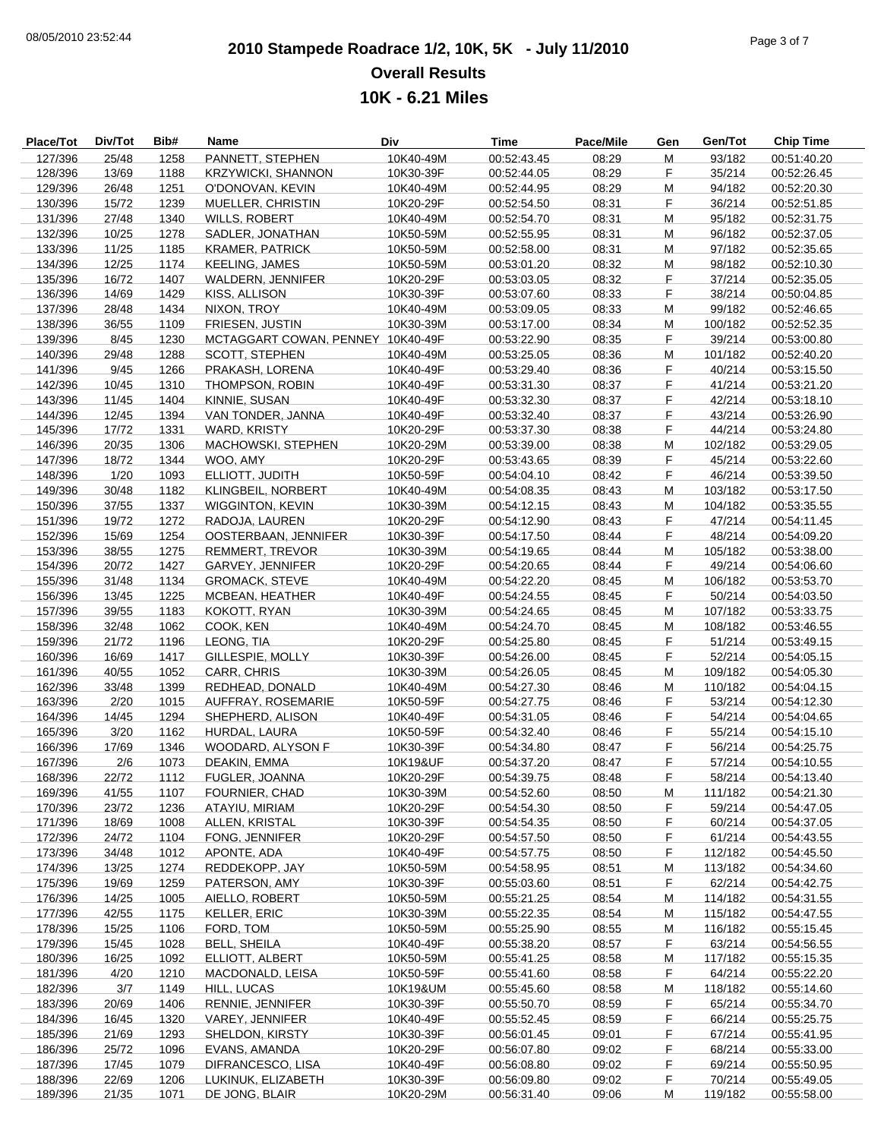## **2010 Stampede Roadrace 1/2, 10K, 5K - July 11/2010** 08/05/2010 23:52:44 Page 3 of 7 **Overall Results 10K - 6.21 Miles**

| Place/Tot | Div/Tot | Bib# | Name                              | Div       | Time        | Pace/Mile | Gen | Gen/Tot | <b>Chip Time</b> |
|-----------|---------|------|-----------------------------------|-----------|-------------|-----------|-----|---------|------------------|
| 127/396   | 25/48   | 1258 | PANNETT, STEPHEN                  | 10K40-49M | 00:52:43.45 | 08:29     | M   | 93/182  | 00:51:40.20      |
| 128/396   | 13/69   | 1188 | <b>KRZYWICKI, SHANNON</b>         | 10K30-39F | 00:52:44.05 | 08:29     | F   | 35/214  | 00:52:26.45      |
| 129/396   | 26/48   | 1251 | O'DONOVAN, KEVIN                  | 10K40-49M | 00:52:44.95 | 08:29     | M   | 94/182  | 00:52:20.30      |
| 130/396   | 15/72   | 1239 | MUELLER, CHRISTIN                 | 10K20-29F | 00:52:54.50 | 08:31     | F.  | 36/214  | 00:52:51.85      |
| 131/396   | 27/48   | 1340 | <b>WILLS, ROBERT</b>              | 10K40-49M | 00:52:54.70 | 08:31     | M   | 95/182  | 00:52:31.75      |
| 132/396   | 10/25   | 1278 | SADLER, JONATHAN                  | 10K50-59M | 00:52:55.95 | 08:31     | M   | 96/182  | 00:52:37.05      |
| 133/396   | 11/25   | 1185 | <b>KRAMER, PATRICK</b>            | 10K50-59M | 00:52:58.00 | 08:31     | м   | 97/182  | 00:52:35.65      |
| 134/396   | 12/25   | 1174 | <b>KEELING, JAMES</b>             | 10K50-59M | 00:53:01.20 | 08:32     | М   | 98/182  | 00:52:10.30      |
| 135/396   | 16/72   | 1407 | WALDERN, JENNIFER                 | 10K20-29F | 00:53:03.05 | 08:32     | F   | 37/214  | 00:52:35.05      |
| 136/396   | 14/69   | 1429 | KISS, ALLISON                     | 10K30-39F | 00:53:07.60 | 08:33     | F   | 38/214  | 00:50:04.85      |
| 137/396   | 28/48   | 1434 | NIXON, TROY                       | 10K40-49M | 00:53:09.05 | 08:33     | м   | 99/182  | 00:52:46.65      |
| 138/396   | 36/55   | 1109 | FRIESEN, JUSTIN                   | 10K30-39M | 00:53:17.00 | 08:34     | М   | 100/182 | 00:52:52.35      |
| 139/396   | 8/45    | 1230 | MCTAGGART COWAN, PENNEY 10K40-49F |           | 00:53:22.90 | 08:35     | F   | 39/214  | 00:53:00.80      |
| 140/396   | 29/48   | 1288 | SCOTT, STEPHEN                    | 10K40-49M | 00:53:25.05 | 08:36     | M   | 101/182 | 00:52:40.20      |
| 141/396   | 9/45    | 1266 | PRAKASH, LORENA                   | 10K40-49F | 00:53:29.40 | 08:36     | F.  | 40/214  | 00:53:15.50      |
| 142/396   | 10/45   | 1310 | THOMPSON, ROBIN                   | 10K40-49F | 00:53:31.30 | 08:37     | F   | 41/214  | 00:53:21.20      |
| 143/396   | 11/45   | 1404 | KINNIE, SUSAN                     | 10K40-49F | 00:53:32.30 | 08:37     | F   | 42/214  | 00:53:18.10      |
| 144/396   | 12/45   | 1394 | VAN TONDER, JANNA                 | 10K40-49F | 00:53:32.40 | 08:37     | F   | 43/214  | 00:53:26.90      |
| 145/396   | 17/72   | 1331 | WARD, KRISTY                      | 10K20-29F | 00:53:37.30 | 08:38     | F   | 44/214  | 00:53:24.80      |
| 146/396   | 20/35   | 1306 | MACHOWSKI, STEPHEN                | 10K20-29M | 00:53:39.00 | 08:38     | M   | 102/182 | 00:53:29.05      |
| 147/396   | 18/72   | 1344 | WOO. AMY                          | 10K20-29F | 00:53:43.65 | 08:39     | F   | 45/214  | 00:53:22.60      |
| 148/396   | 1/20    | 1093 | ELLIOTT, JUDITH                   | 10K50-59F | 00:54:04.10 | 08:42     | F   | 46/214  | 00:53:39.50      |
| 149/396   | 30/48   | 1182 | KLINGBEIL, NORBERT                | 10K40-49M | 00:54:08.35 | 08:43     | м   | 103/182 | 00:53:17.50      |
| 150/396   | 37/55   | 1337 | <b>WIGGINTON, KEVIN</b>           | 10K30-39M | 00:54:12.15 | 08:43     | М   | 104/182 | 00:53:35.55      |
| 151/396   | 19/72   | 1272 | RADOJA, LAUREN                    | 10K20-29F | 00:54:12.90 | 08:43     | F   | 47/214  | 00:54:11.45      |
| 152/396   | 15/69   | 1254 | OOSTERBAAN, JENNIFER              | 10K30-39F | 00:54:17.50 | 08:44     | F   | 48/214  | 00:54:09.20      |
| 153/396   | 38/55   | 1275 | REMMERT, TREVOR                   | 10K30-39M | 00:54:19.65 | 08:44     | M   | 105/182 | 00:53:38.00      |
|           |         |      |                                   |           |             |           | F.  |         |                  |
| 154/396   | 20/72   | 1427 | GARVEY, JENNIFER                  | 10K20-29F | 00:54:20.65 | 08:44     | M   | 49/214  | 00:54:06.60      |
| 155/396   | 31/48   | 1134 | <b>GROMACK, STEVE</b>             | 10K40-49M | 00:54:22.20 | 08:45     | F   | 106/182 | 00:53:53.70      |
| 156/396   | 13/45   | 1225 | MCBEAN, HEATHER                   | 10K40-49F | 00:54:24.55 | 08:45     |     | 50/214  | 00:54:03.50      |
| 157/396   | 39/55   | 1183 | KOKOTT, RYAN                      | 10K30-39M | 00:54:24.65 | 08:45     | м   | 107/182 | 00:53:33.75      |
| 158/396   | 32/48   | 1062 | COOK, KEN                         | 10K40-49M | 00:54:24.70 | 08:45     | М   | 108/182 | 00:53:46.55      |
| 159/396   | 21/72   | 1196 | LEONG, TIA                        | 10K20-29F | 00:54:25.80 | 08:45     | F.  | 51/214  | 00:53:49.15      |
| 160/396   | 16/69   | 1417 | GILLESPIE, MOLLY                  | 10K30-39F | 00:54:26.00 | 08:45     | F   | 52/214  | 00:54:05.15      |
| 161/396   | 40/55   | 1052 | CARR, CHRIS                       | 10K30-39M | 00:54:26.05 | 08:45     | м   | 109/182 | 00:54:05.30      |
| 162/396   | 33/48   | 1399 | REDHEAD, DONALD                   | 10K40-49M | 00:54:27.30 | 08:46     | М   | 110/182 | 00:54:04.15      |
| 163/396   | 2/20    | 1015 | AUFFRAY, ROSEMARIE                | 10K50-59F | 00:54:27.75 | 08:46     | F.  | 53/214  | 00:54:12.30      |
| 164/396   | 14/45   | 1294 | SHEPHERD, ALISON                  | 10K40-49F | 00:54:31.05 | 08:46     | F   | 54/214  | 00:54:04.65      |
| 165/396   | 3/20    | 1162 | HURDAL, LAURA                     | 10K50-59F | 00:54:32.40 | 08:46     | F.  | 55/214  | 00:54:15.10      |
| 166/396   | 17/69   | 1346 | WOODARD, ALYSON F                 | 10K30-39F | 00:54:34.80 | 08:47     | F   | 56/214  | 00:54:25.75      |
| 167/396   | 2/6     | 1073 | DEAKIN, EMMA                      | 10K19&UF  | 00:54:37.20 | 08:47     | F   | 57/214  | 00:54:10.55      |
| 168/396   | 22/72   | 1112 | FUGLER, JOANNA                    | 10K20-29F | 00:54:39.75 | 08:48     | F   | 58/214  | 00:54:13.40      |
| 169/396   | 41/55   | 1107 | <b>FOURNIER, CHAD</b>             | 10K30-39M | 00:54:52.60 | 08:50     | м   | 111/182 | 00:54:21.30      |
| 170/396   | 23/72   | 1236 | ATAYIU, MIRIAM                    | 10K20-29F | 00:54:54.30 | 08:50     | F.  | 59/214  | 00:54:47.05      |
| 171/396   | 18/69   | 1008 | ALLEN, KRISTAL                    | 10K30-39F | 00:54:54.35 | 08:50     | F.  | 60/214  | 00:54:37.05      |
| 172/396   | 24/72   | 1104 | FONG, JENNIFER                    | 10K20-29F | 00:54:57.50 | 08:50     | F.  | 61/214  | 00:54:43.55      |
| 173/396   | 34/48   | 1012 | APONTE, ADA                       | 10K40-49F | 00:54:57.75 | 08:50     | F.  | 112/182 | 00:54:45.50      |
| 174/396   | 13/25   | 1274 | REDDEKOPP, JAY                    | 10K50-59M | 00:54:58.95 | 08:51     | M   | 113/182 | 00:54:34.60      |
| 175/396   | 19/69   | 1259 | PATERSON, AMY                     | 10K30-39F | 00:55:03.60 | 08:51     | F.  | 62/214  | 00:54:42.75      |
| 176/396   | 14/25   | 1005 | AIELLO, ROBERT                    | 10K50-59M | 00:55:21.25 | 08:54     | M   | 114/182 | 00:54:31.55      |
| 177/396   | 42/55   | 1175 | KELLER, ERIC                      | 10K30-39M | 00:55:22.35 | 08:54     | м   | 115/182 | 00:54:47.55      |
| 178/396   | 15/25   | 1106 | FORD. TOM                         | 10K50-59M | 00:55:25.90 | 08:55     | M   | 116/182 | 00:55:15.45      |
| 179/396   | 15/45   | 1028 | <b>BELL, SHEILA</b>               | 10K40-49F | 00:55:38.20 | 08:57     | F.  | 63/214  | 00:54:56.55      |
| 180/396   | 16/25   | 1092 | ELLIOTT, ALBERT                   | 10K50-59M | 00:55:41.25 | 08:58     | M   | 117/182 | 00:55:15.35      |
| 181/396   | 4/20    | 1210 | MACDONALD, LEISA                  | 10K50-59F | 00:55:41.60 | 08:58     | F.  | 64/214  | 00:55:22.20      |
| 182/396   | 3/7     | 1149 | HILL, LUCAS                       | 10K19&UM  | 00:55:45.60 | 08:58     | M   | 118/182 | 00:55:14.60      |
| 183/396   | 20/69   | 1406 | RENNIE, JENNIFER                  | 10K30-39F | 00:55:50.70 | 08:59     | F.  | 65/214  | 00:55:34.70      |
| 184/396   | 16/45   | 1320 | VAREY, JENNIFER                   | 10K40-49F | 00:55:52.45 | 08:59     | F   | 66/214  | 00:55:25.75      |
| 185/396   | 21/69   | 1293 | SHELDON, KIRSTY                   | 10K30-39F | 00:56:01.45 | 09:01     | F.  | 67/214  | 00:55:41.95      |
| 186/396   | 25/72   | 1096 | EVANS, AMANDA                     | 10K20-29F | 00:56:07.80 | 09:02     | F.  | 68/214  | 00:55:33.00      |
| 187/396   | 17/45   | 1079 | DIFRANCESCO, LISA                 | 10K40-49F | 00:56:08.80 | 09:02     | F   | 69/214  | 00:55:50.95      |
| 188/396   | 22/69   | 1206 | LUKINUK, ELIZABETH                | 10K30-39F | 00:56:09.80 | 09:02     | F   | 70/214  | 00:55:49.05      |
| 189/396   | 21/35   | 1071 | DE JONG, BLAIR                    | 10K20-29M | 00:56:31.40 | 09:06     | M   | 119/182 | 00:55:58.00      |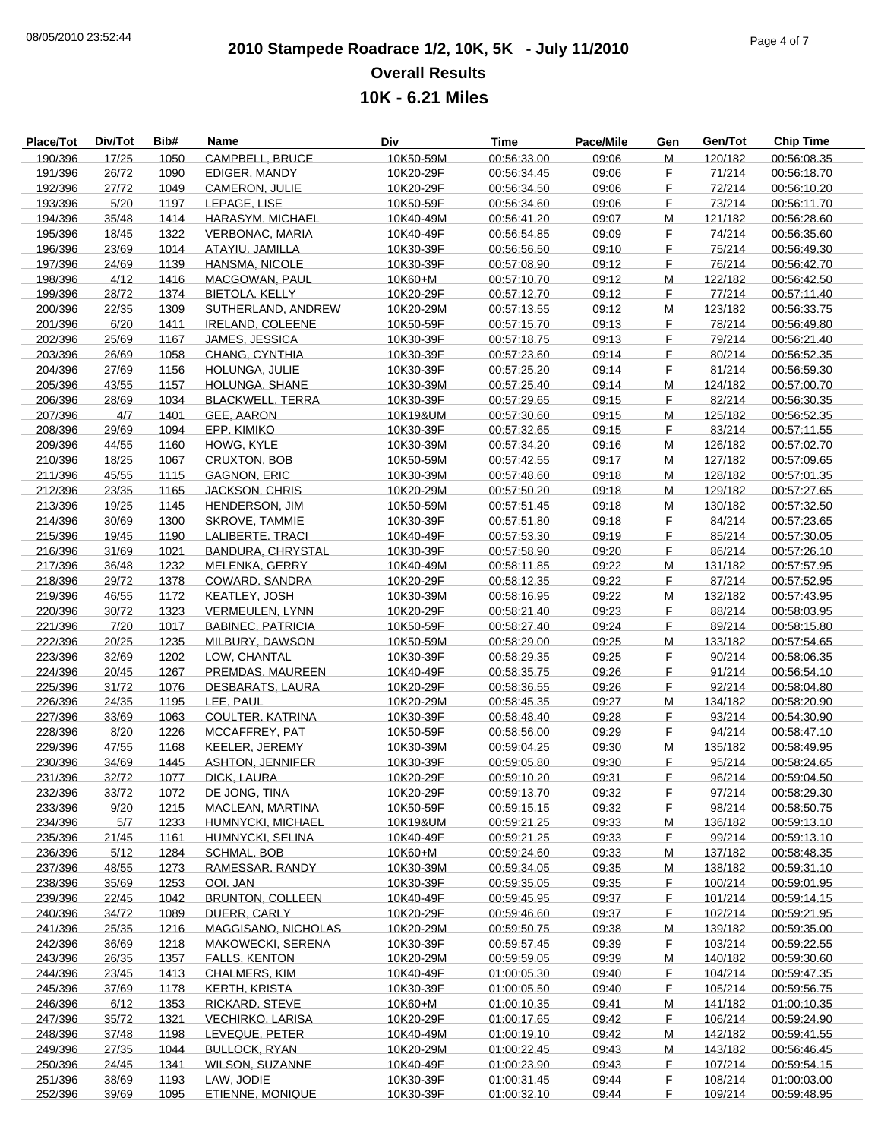## **2010 Stampede Roadrace 1/2, 10K, 5K - July 11/2010** 08/05/2010 23:52:44 Page 4 of 7 **Overall Results 10K - 6.21 Miles**

| Place/Tot | Div/Tot | Bib# | Name                     | Div       | Time        | Pace/Mile | Gen | Gen/Tot | <b>Chip Time</b> |
|-----------|---------|------|--------------------------|-----------|-------------|-----------|-----|---------|------------------|
| 190/396   | 17/25   | 1050 | CAMPBELL, BRUCE          | 10K50-59M | 00:56:33.00 | 09:06     | M   | 120/182 | 00:56:08.35      |
| 191/396   | 26/72   | 1090 | EDIGER, MANDY            | 10K20-29F | 00:56:34.45 | 09:06     | F   | 71/214  | 00:56:18.70      |
| 192/396   | 27/72   | 1049 | CAMERON, JULIE           | 10K20-29F | 00:56:34.50 | 09:06     | F   | 72/214  | 00:56:10.20      |
| 193/396   | 5/20    | 1197 | LEPAGE, LISE             | 10K50-59F | 00:56:34.60 | 09:06     | F   | 73/214  | 00:56:11.70      |
| 194/396   | 35/48   | 1414 | HARASYM, MICHAEL         | 10K40-49M | 00:56:41.20 | 09:07     | M   | 121/182 | 00:56:28.60      |
| 195/396   | 18/45   | 1322 | VERBONAC, MARIA          | 10K40-49F | 00:56:54.85 | 09:09     | F   | 74/214  | 00:56:35.60      |
| 196/396   | 23/69   | 1014 | ATAYIU, JAMILLA          | 10K30-39F | 00:56:56.50 | 09:10     | F   | 75/214  | 00:56:49.30      |
| 197/396   | 24/69   | 1139 | HANSMA, NICOLE           | 10K30-39F | 00:57:08.90 | 09:12     | F.  | 76/214  | 00:56:42.70      |
| 198/396   | 4/12    | 1416 | MACGOWAN, PAUL           | 10K60+M   | 00:57:10.70 | 09:12     | M   | 122/182 | 00:56:42.50      |
| 199/396   | 28/72   | 1374 | <b>BIETOLA, KELLY</b>    | 10K20-29F | 00:57:12.70 | 09:12     | F   | 77/214  | 00:57:11.40      |
| 200/396   | 22/35   | 1309 | SUTHERLAND, ANDREW       | 10K20-29M | 00:57:13.55 | 09:12     | M   | 123/182 | 00:56:33.75      |
| 201/396   | 6/20    | 1411 | <b>IRELAND, COLEENE</b>  | 10K50-59F | 00:57:15.70 | 09:13     | F.  | 78/214  | 00:56:49.80      |
| 202/396   | 25/69   | 1167 | JAMES, JESSICA           | 10K30-39F | 00:57:18.75 | 09:13     | F   | 79/214  | 00:56:21.40      |
| 203/396   | 26/69   | 1058 | CHANG, CYNTHIA           | 10K30-39F | 00:57:23.60 | 09:14     | F   | 80/214  | 00:56:52.35      |
| 204/396   | 27/69   | 1156 | HOLUNGA, JULIE           | 10K30-39F | 00:57:25.20 | 09:14     | F   | 81/214  | 00:56:59.30      |
| 205/396   | 43/55   | 1157 | HOLUNGA, SHANE           | 10K30-39M | 00:57:25.40 | 09:14     | M   | 124/182 | 00:57:00.70      |
| 206/396   | 28/69   | 1034 | <b>BLACKWELL, TERRA</b>  | 10K30-39F | 00:57:29.65 | 09:15     | F   | 82/214  | 00:56:30.35      |
| 207/396   | 4/7     | 1401 | GEE, AARON               | 10K19&UM  | 00:57:30.60 | 09:15     | M   | 125/182 | 00:56:52.35      |
| 208/396   | 29/69   | 1094 | EPP, KIMIKO              | 10K30-39F | 00:57:32.65 | 09:15     | F.  | 83/214  | 00:57:11.55      |
| 209/396   | 44/55   | 1160 | HOWG, KYLE               | 10K30-39M | 00:57:34.20 | 09:16     | М   | 126/182 | 00:57:02.70      |
| 210/396   | 18/25   | 1067 | CRUXTON, BOB             | 10K50-59M | 00:57:42.55 | 09:17     | M   | 127/182 | 00:57:09.65      |
| 211/396   | 45/55   | 1115 | <b>GAGNON, ERIC</b>      | 10K30-39M | 00:57:48.60 | 09:18     | M   | 128/182 | 00:57:01.35      |
| 212/396   | 23/35   | 1165 | <b>JACKSON, CHRIS</b>    | 10K20-29M | 00:57:50.20 | 09:18     | м   | 129/182 | 00:57:27.65      |
| 213/396   | 19/25   | 1145 | HENDERSON, JIM           | 10K50-59M | 00:57:51.45 | 09:18     | М   | 130/182 | 00:57:32.50      |
| 214/396   | 30/69   | 1300 | SKROVE, TAMMIE           | 10K30-39F | 00:57:51.80 | 09:18     | F   | 84/214  | 00:57:23.65      |
| 215/396   | 19/45   | 1190 | LALIBERTE, TRACI         | 10K40-49F | 00:57:53.30 | 09:19     | F   | 85/214  | 00:57:30.05      |
| 216/396   | 31/69   | 1021 | <b>BANDURA, CHRYSTAL</b> | 10K30-39F | 00:57:58.90 | 09:20     | F   | 86/214  | 00:57:26.10      |
| 217/396   | 36/48   | 1232 | MELENKA, GERRY           | 10K40-49M | 00:58:11.85 | 09:22     | M   | 131/182 | 00:57:57.95      |
| 218/396   | 29/72   | 1378 | COWARD, SANDRA           | 10K20-29F | 00:58:12.35 | 09:22     | F   | 87/214  | 00:57:52.95      |
| 219/396   | 46/55   | 1172 | KEATLEY, JOSH            | 10K30-39M | 00:58:16.95 | 09:22     | M   | 132/182 | 00:57:43.95      |
| 220/396   | 30/72   | 1323 | <b>VERMEULEN, LYNN</b>   | 10K20-29F | 00:58:21.40 | 09:23     | F.  | 88/214  | 00:58:03.95      |
| 221/396   | 7/20    | 1017 | <b>BABINEC, PATRICIA</b> | 10K50-59F | 00:58:27.40 | 09:24     | F.  | 89/214  | 00:58:15.80      |
| 222/396   | 20/25   | 1235 | MILBURY, DAWSON          | 10K50-59M | 00:58:29.00 | 09:25     | M   | 133/182 | 00:57:54.65      |
| 223/396   | 32/69   | 1202 | LOW, CHANTAL             | 10K30-39F | 00:58:29.35 | 09:25     | F   | 90/214  | 00:58:06.35      |
| 224/396   | 20/45   | 1267 | PREMDAS, MAUREEN         | 10K40-49F | 00:58:35.75 | 09:26     | F   | 91/214  | 00:56:54.10      |
| 225/396   | 31/72   | 1076 | DESBARATS, LAURA         | 10K20-29F | 00:58:36.55 | 09:26     | F.  | 92/214  | 00:58:04.80      |
| 226/396   | 24/35   | 1195 | LEE, PAUL                | 10K20-29M | 00:58:45.35 | 09:27     | M   | 134/182 | 00:58:20.90      |
| 227/396   | 33/69   | 1063 | COULTER, KATRINA         | 10K30-39F | 00:58:48.40 | 09:28     | F   | 93/214  | 00:54:30.90      |
| 228/396   | 8/20    | 1226 | MCCAFFREY, PAT           | 10K50-59F | 00:58:56.00 | 09:29     | F   | 94/214  | 00:58:47.10      |
| 229/396   | 47/55   | 1168 | KEELER, JEREMY           | 10K30-39M | 00:59:04.25 | 09:30     | М   | 135/182 | 00:58:49.95      |
| 230/396   | 34/69   | 1445 | <b>ASHTON, JENNIFER</b>  | 10K30-39F | 00:59:05.80 | 09:30     | F   | 95/214  | 00:58:24.65      |
| 231/396   | 32/72   | 1077 | DICK, LAURA              | 10K20-29F | 00:59:10.20 | 09:31     | F   | 96/214  | 00:59:04.50      |
| 232/396   | 33/72   | 1072 | DE JONG, TINA            | 10K20-29F | 00:59:13.70 | 09:32     | F.  | 97/214  | 00:58:29.30      |
| 233/396   | 9/20    | 1215 | MACLEAN, MARTINA         | 10K50-59F | 00:59:15.15 | 09:32     | F.  | 98/214  | 00:58:50.75      |
| 234/396   | 5/7     | 1233 | HUMNYCKI, MICHAEL        | 10K19&UM  | 00:59:21.25 | 09:33     | M   | 136/182 | 00:59:13.10      |
| 235/396   | 21/45   | 1161 | HUMNYCKI, SELINA         | 10K40-49F | 00:59:21.25 | 09:33     | F   | 99/214  | 00:59:13.10      |
| 236/396   | 5/12    | 1284 | <b>SCHMAL, BOB</b>       | 10K60+M   | 00:59:24.60 | 09:33     | M   | 137/182 | 00:58:48.35      |
| 237/396   | 48/55   | 1273 | RAMESSAR, RANDY          | 10K30-39M | 00:59:34.05 | 09:35     | M   | 138/182 | 00:59:31.10      |
| 238/396   | 35/69   | 1253 | OOI, JAN                 | 10K30-39F | 00:59:35.05 | 09:35     | F   | 100/214 | 00:59:01.95      |
| 239/396   | 22/45   | 1042 | <b>BRUNTON, COLLEEN</b>  | 10K40-49F | 00:59:45.95 | 09:37     | F   | 101/214 | 00:59:14.15      |
| 240/396   | 34/72   | 1089 | DUERR, CARLY             | 10K20-29F | 00:59:46.60 | 09:37     | F   | 102/214 | 00:59:21.95      |
| 241/396   | 25/35   | 1216 | MAGGISANO, NICHOLAS      | 10K20-29M | 00:59:50.75 | 09:38     | M   | 139/182 | 00:59:35.00      |
| 242/396   | 36/69   | 1218 | MAKOWECKI, SERENA        | 10K30-39F | 00:59:57.45 | 09:39     | F   | 103/214 | 00:59:22.55      |
| 243/396   | 26/35   | 1357 | FALLS, KENTON            | 10K20-29M | 00:59:59.05 | 09:39     | M   | 140/182 | 00:59:30.60      |
| 244/396   | 23/45   | 1413 | CHALMERS, KIM            | 10K40-49F | 01:00:05.30 | 09:40     | F.  | 104/214 | 00:59:47.35      |
| 245/396   | 37/69   | 1178 | <b>KERTH, KRISTA</b>     | 10K30-39F | 01:00:05.50 | 09:40     | F.  | 105/214 | 00:59:56.75      |
| 246/396   | 6/12    | 1353 | RICKARD, STEVE           | 10K60+M   | 01:00:10.35 | 09:41     | M   | 141/182 | 01:00:10.35      |
| 247/396   | 35/72   | 1321 | VECHIRKO, LARISA         | 10K20-29F | 01:00:17.65 | 09:42     | F   | 106/214 | 00:59:24.90      |
| 248/396   | 37/48   | 1198 | LEVEQUE, PETER           | 10K40-49M | 01:00:19.10 | 09:42     | M   | 142/182 | 00:59:41.55      |
| 249/396   | 27/35   | 1044 | <b>BULLOCK, RYAN</b>     | 10K20-29M | 01:00:22.45 | 09:43     | M   | 143/182 | 00:56:46.45      |
| 250/396   | 24/45   | 1341 | WILSON, SUZANNE          | 10K40-49F | 01:00:23.90 | 09:43     | F   | 107/214 | 00:59:54.15      |
| 251/396   | 38/69   | 1193 | LAW, JODIE               | 10K30-39F | 01:00:31.45 | 09:44     | F   | 108/214 | 01:00:03.00      |
| 252/396   | 39/69   | 1095 | ETIENNE, MONIQUE         | 10K30-39F | 01:00:32.10 | 09:44     | F   | 109/214 | 00:59:48.95      |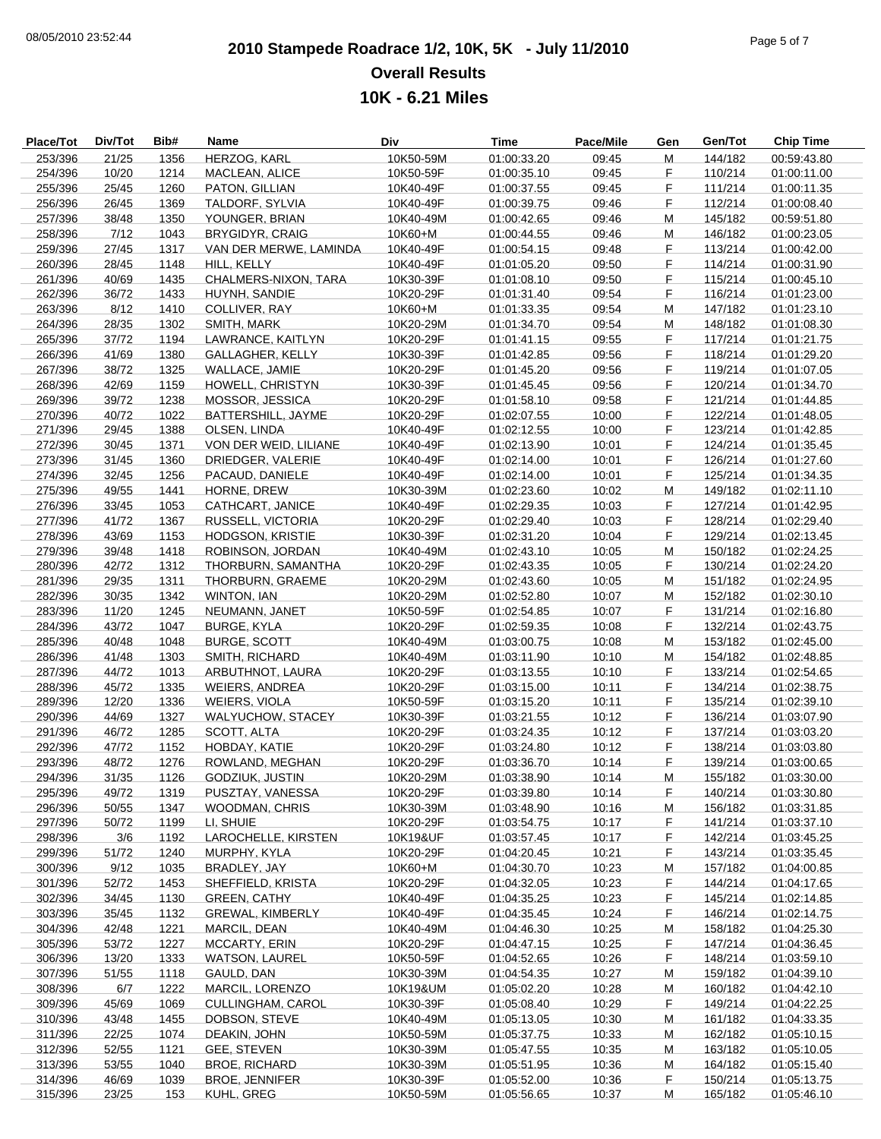# **2010 Stampede Roadrace 1/2, 10K, 5K - July 11/2010** 08/05/2010 23:52:44 Page 5 of 7 **Overall Results**

|                  | <b>Overall Results</b> |      |                        |           |              |                 |                |         |                  |  |  |
|------------------|------------------------|------|------------------------|-----------|--------------|-----------------|----------------|---------|------------------|--|--|
| 10K - 6.21 Miles |                        |      |                        |           |              |                 |                |         |                  |  |  |
|                  |                        |      |                        |           |              |                 |                |         |                  |  |  |
| Place/Tot        | Div/Tot                | Bib# | Name                   | Div       | <b>Time</b>  | Pace/Mile       | Gen            | Gen/Tot | <b>Chip Time</b> |  |  |
| 253/396          | 21/25                  | 1356 | HERZOG, KARL           | 10K50-59M | 01:00:33.20  | 09:45           | М              | 144/182 | 00:59:43.80      |  |  |
| 254/396          | 10/20                  | 1214 | MACLEAN, ALICE         | 10K50-59F | 01:00:35.10  | 09:45           | F              | 110/214 | 01:00:11.00      |  |  |
| 255/396          | 25/45                  | 1260 | PATON, GILLIAN         | 10K40-49F | 01:00:37.55  | 09:45           | F              | 111/214 | 01:00:11.35      |  |  |
| 256/396          | 26/45                  | 1369 | TALDORF, SYLVIA        | 10K40-49F | 01:00:39.75  | 09:46           | F              | 112/214 | 01:00:08.40      |  |  |
| 257/396          | 38/48                  | 1350 | YOUNGER, BRIAN         | 10K40-49M | 01:00:42.65  | 09:46           | M              | 145/182 | 00:59:51.80      |  |  |
| 258/396          | 7/12                   | 1043 | <b>BRYGIDYR, CRAIG</b> | 10K60+M   | 01:00:44.55  | 09:46           | M              | 146/182 | 01:00:23.05      |  |  |
| 259/396          | 27/45                  | 1317 | VAN DER MERWE, LAMINDA | 10K40-49F | 01:00:54.15  | 09:48           | F              | 113/214 | 01:00:42.00      |  |  |
| 260/396          | 28/45                  | 1148 | HILL, KELLY            | 10K40-49F | 01:01:05.20  | 09:50           | F              | 114/214 | 01:00:31.90      |  |  |
| 261/396          | 40/69                  | 1435 | CHALMERS-NIXON, TARA   | 10K30-39F | 01:01:08.10  | 09:50           | F              | 115/214 | 01:00:45.10      |  |  |
| 262/396          | 36/72                  | 1433 | HUYNH, SANDIE          | 10K20-29F | 01:01:31.40  | 09:54           | F              | 116/214 | 01:01:23.00      |  |  |
| 263/396          | 8/12                   | 1410 | COLLIVER, RAY          | 10K60+M   | 01:01:33.35  | 09:54           | M              | 147/182 | 01:01:23.10      |  |  |
| 264/396          | 28/35                  | 1302 | SMITH, MARK            | 10K20-29M | 01:01:34.70  | 09:54           | M              | 148/182 | 01:01:08.30      |  |  |
| 265/396          | 37/72                  | 1194 | LAWRANCE, KAITLYN      | 10K20-29F | 01:01:41.15  | 09:55           | F              | 117/214 | 01:01:21.75      |  |  |
| 266/396          | 41/69                  | 1380 | GALLAGHER, KELLY       | 10K30-39F | 01:01:42.85  | 09:56           | F              | 118/214 | 01:01:29.20      |  |  |
| 267/396          | 38/72                  | 1325 | WALLACE, JAMIE         | 10K20-29F | 01:01:45.20  | 09:56           | F              | 119/214 | 01:01:07.05      |  |  |
| 268/396          | 42/69                  | 1159 | HOWELL, CHRISTYN       | 10K30-39F | 01:01:45.45  | 09:56           | F              | 120/214 | 01:01:34.70      |  |  |
| 269/396          | 39/72                  | 1238 | MOSSOR, JESSICA        | 10K20-29F | 01:01:58.10  | 09:58           | F              | 121/214 | 01:01:44.85      |  |  |
| 270/396          | 40/72                  | 1022 | BATTERSHILL, JAYME     | 10K20-29F | 01:02:07.55  | 10:00           | F              | 122/214 | 01:01:48.05      |  |  |
| 271/396          | 29/45                  | 1388 | OLSEN, LINDA           | 10K40-49F | 01:02:12.55  | 10:00           | F              | 123/214 | 01:01:42.85      |  |  |
| 272/396          | 30/45                  | 1371 | VON DER WEID, LILIANE  | 10K40-49F | 01:02:13.90  | 10:01           | F              | 124/214 | 01:01:35.45      |  |  |
| 273/396          | 31/45                  | 1360 | DRIEDGER, VALERIE      | 10K40-49F | 01:02:14.00  | 10:01           | F              | 126/214 | 01:01:27.60      |  |  |
| 274/396          | 32/45                  | 1256 | PACAUD, DANIELE        | 10K40-49F | 01:02:14.00  | 10:01           | F              | 125/214 | 01:01:34.35      |  |  |
| 275/396          | 49/55                  | 1441 | HORNE, DREW            | 10K30-39M | 01:02:23.60  | 10:02           | M              | 149/182 | 01:02:11.10      |  |  |
| 276/396          | 33/45                  | 1053 | CATHCART, JANICE       | 10K40-49F | 01:02:29.35  | 10:03           | F              | 127/214 | 01:01:42.95      |  |  |
| 277/396          | 41/72                  | 1367 | RUSSELL, VICTORIA      | 10K20-29F | 01:02:29.40  | 10:03           | F              | 128/214 | 01:02:29.40      |  |  |
| 278/396          | 43/69                  | 1153 | HODGSON, KRISTIE       | 10K30-39F | 01:02:31.20  | 10:04           | F              | 129/214 | 01:02:13.45      |  |  |
| 279/396          | 39/48                  | 1418 | ROBINSON, JORDAN       | 10K40-49M | 01:02:43.10  | 10:05           | М              | 150/182 | 01:02:24.25      |  |  |
| 0.00000          | 10/70                  | 1010 | TUODDUDNI CAMANITUA    | 101/200   | 0.4.00.40.05 | $A \cap \Omega$ | $\overline{ }$ | 100/011 | 0.1.00.01.00     |  |  |

| <u>LUUI UUU</u> | 2170  | <u>,,,,</u> | ************************************* | $101110 + 01$ |             | $\sim$ . $\sim$ |             | <u>.</u> | 0.00.74.00  |
|-----------------|-------|-------------|---------------------------------------|---------------|-------------|-----------------|-------------|----------|-------------|
| 260/396         | 28/45 | 1148        | HILL, KELLY                           | 10K40-49F     | 01:01:05.20 | 09:50           | F.          | 114/214  | 01:00:31.90 |
| 261/396         | 40/69 | 1435        | CHALMERS-NIXON, TARA                  | 10K30-39F     | 01:01:08.10 | 09:50           | F.          | 115/214  | 01:00:45.10 |
| 262/396         | 36/72 | 1433        | HUYNH, SANDIE                         | 10K20-29F     | 01:01:31.40 | 09:54           | F.          | 116/214  | 01:01:23.00 |
| 263/396         | 8/12  | 1410        | COLLIVER, RAY                         | 10K60+M       | 01:01:33.35 | 09:54           | M           | 147/182  | 01:01:23.10 |
| 264/396         | 28/35 | 1302        | SMITH, MARK                           | 10K20-29M     | 01:01:34.70 | 09:54           | M           | 148/182  | 01:01:08.30 |
| 265/396         | 37/72 | 1194        | LAWRANCE, KAITLYN                     | 10K20-29F     | 01:01:41.15 | 09:55           | F.          | 117/214  | 01:01:21.75 |
| 266/396         | 41/69 | 1380        | GALLAGHER, KELLY                      | 10K30-39F     | 01:01:42.85 | 09:56           | F.          | 118/214  | 01:01:29.20 |
| 267/396         | 38/72 | 1325        | WALLACE, JAMIE                        | 10K20-29F     | 01:01:45.20 | 09:56           | $\mathsf F$ | 119/214  | 01:01:07.05 |
| 268/396         | 42/69 | 1159        | HOWELL, CHRISTYN                      | 10K30-39F     | 01:01:45.45 | 09:56           | F.          | 120/214  | 01:01:34.70 |
| 269/396         | 39/72 | 1238        | MOSSOR, JESSICA                       | 10K20-29F     | 01:01:58.10 | 09:58           | F.          | 121/214  | 01:01:44.85 |
| 270/396         | 40/72 | 1022        | BATTERSHILL, JAYME                    | 10K20-29F     | 01:02:07.55 | 10:00           | F.          | 122/214  | 01:01:48.05 |
| 271/396         | 29/45 | 1388        | OLSEN, LINDA                          | 10K40-49F     | 01:02:12.55 | 10:00           | F.          | 123/214  | 01:01:42.85 |
| 272/396         | 30/45 | 1371        | VON DER WEID, LILIANE                 | 10K40-49F     | 01:02:13.90 | 10:01           | F.          | 124/214  | 01:01:35.45 |
| 273/396         | 31/45 | 1360        | DRIEDGER, VALERIE                     | 10K40-49F     | 01:02:14.00 | 10:01           | F.          | 126/214  | 01:01:27.60 |
|                 |       | 1256        |                                       | 10K40-49F     |             |                 | F.          |          |             |
| 274/396         | 32/45 |             | PACAUD, DANIELE                       |               | 01:02:14.00 | 10:01           |             | 125/214  | 01:01:34.35 |
| 275/396         | 49/55 | 1441        | HORNE, DREW                           | 10K30-39M     | 01:02:23.60 | 10:02           | M           | 149/182  | 01:02:11.10 |
| 276/396         | 33/45 | 1053        | CATHCART, JANICE                      | 10K40-49F     | 01:02:29.35 | 10:03           | F.          | 127/214  | 01:01:42.95 |
| 277/396         | 41/72 | 1367        | RUSSELL, VICTORIA                     | 10K20-29F     | 01:02:29.40 | 10:03           | F.          | 128/214  | 01:02:29.40 |
| 278/396         | 43/69 | 1153        | HODGSON, KRISTIE                      | 10K30-39F     | 01:02:31.20 | 10:04           | F.          | 129/214  | 01:02:13.45 |
| 279/396         | 39/48 | 1418        | ROBINSON, JORDAN                      | 10K40-49M     | 01:02:43.10 | 10:05           | M           | 150/182  | 01:02:24.25 |
| 280/396         | 42/72 | 1312        | THORBURN, SAMANTHA                    | 10K20-29F     | 01:02:43.35 | 10:05           | F.          | 130/214  | 01:02:24.20 |
| 281/396         | 29/35 | 1311        | THORBURN, GRAEME                      | 10K20-29M     | 01:02:43.60 | 10:05           | M           | 151/182  | 01:02:24.95 |
| 282/396         | 30/35 | 1342        | WINTON, IAN                           | 10K20-29M     | 01:02:52.80 | 10:07           | M           | 152/182  | 01:02:30.10 |
| 283/396         | 11/20 | 1245        | NEUMANN, JANET                        | 10K50-59F     | 01:02:54.85 | 10:07           | F.          | 131/214  | 01:02:16.80 |
| 284/396         | 43/72 | 1047        | <b>BURGE, KYLA</b>                    | 10K20-29F     | 01:02:59.35 | 10:08           | F.          | 132/214  | 01:02:43.75 |
| 285/396         | 40/48 | 1048        | <b>BURGE, SCOTT</b>                   | 10K40-49M     | 01:03:00.75 | 10:08           | M           | 153/182  | 01:02:45.00 |
| 286/396         | 41/48 | 1303        | SMITH, RICHARD                        | 10K40-49M     | 01:03:11.90 | 10:10           | M           | 154/182  | 01:02:48.85 |
| 287/396         | 44/72 | 1013        | ARBUTHNOT, LAURA                      | 10K20-29F     | 01:03:13.55 | 10:10           | F.          | 133/214  | 01:02:54.65 |
| 288/396         | 45/72 | 1335        | WEIERS, ANDREA                        | 10K20-29F     | 01:03:15.00 | 10:11           | F.          | 134/214  | 01:02:38.75 |
| 289/396         | 12/20 | 1336        | WEIERS, VIOLA                         | 10K50-59F     | 01:03:15.20 | 10:11           | F.          | 135/214  | 01:02:39.10 |
| 290/396         | 44/69 | 1327        | WALYUCHOW, STACEY                     | 10K30-39F     | 01:03:21.55 | 10:12           | F.          | 136/214  | 01:03:07.90 |
| 291/396         | 46/72 | 1285        | SCOTT, ALTA                           | 10K20-29F     | 01:03:24.35 | 10:12           | F.          | 137/214  | 01:03:03.20 |
| 292/396         | 47/72 | 1152        | HOBDAY, KATIE                         | 10K20-29F     | 01:03:24.80 | 10:12           | F.          | 138/214  | 01:03:03.80 |
| 293/396         | 48/72 | 1276        | ROWLAND, MEGHAN                       | 10K20-29F     | 01:03:36.70 | 10:14           | F.          | 139/214  | 01:03:00.65 |
| 294/396         | 31/35 | 1126        | GODZIUK, JUSTIN                       | 10K20-29M     | 01:03:38.90 | 10:14           | M           | 155/182  | 01:03:30.00 |
| 295/396         | 49/72 | 1319        | PUSZTAY, VANESSA                      | 10K20-29F     | 01:03:39.80 | 10:14           | F.          | 140/214  | 01:03:30.80 |
| 296/396         | 50/55 | 1347        | <b>WOODMAN, CHRIS</b>                 | 10K30-39M     | 01:03:48.90 | 10:16           | M           | 156/182  | 01:03:31.85 |
| 297/396         | 50/72 | 1199        | LI. SHUIE                             | 10K20-29F     | 01:03:54.75 | 10:17           | F.          | 141/214  | 01:03:37.10 |
| 298/396         | 3/6   | 1192        | LAROCHELLE, KIRSTEN                   | 10K19&UF      | 01:03:57.45 | 10:17           | F.          | 142/214  | 01:03:45.25 |
| 299/396         | 51/72 | 1240        | MURPHY, KYLA                          | 10K20-29F     | 01:04:20.45 | 10:21           | F.          | 143/214  | 01:03:35.45 |
| 300/396         | 9/12  | 1035        | BRADLEY, JAY                          | 10K60+M       | 01:04:30.70 | 10:23           | M           | 157/182  | 01:04:00.85 |
| 301/396         | 52/72 | 1453        | SHEFFIELD, KRISTA                     | 10K20-29F     | 01:04:32.05 | 10:23           | F.          | 144/214  | 01:04:17.65 |
| 302/396         | 34/45 |             | 1130 GREEN, CATHY                     | 10K40-49F     | 01:04:35.25 | 10:23           | F           | 145/214  | 01:02:14.85 |
| 303/396         | 35/45 | 1132        | <b>GREWAL, KIMBERLY</b>               | 10K40-49F     | 01:04:35.45 | 10:24           | F.          | 146/214  | 01:02:14.75 |
| 304/396         | 42/48 | 1221        | MARCIL, DEAN                          | 10K40-49M     | 01:04:46.30 | 10:25           | M           | 158/182  | 01:04:25.30 |
| 305/396         | 53/72 | 1227        | MCCARTY, ERIN                         | 10K20-29F     | 01:04:47.15 | 10:25           | F.          | 147/214  | 01:04:36.45 |
| 306/396         | 13/20 | 1333        | <b>WATSON, LAUREL</b>                 | 10K50-59F     | 01:04:52.65 | 10:26           | F           | 148/214  | 01:03:59.10 |
|                 |       |             |                                       |               |             |                 |             |          |             |
| 307/396         | 51/55 | 1118        | GAULD, DAN                            | 10K30-39M     | 01:04:54.35 | 10:27           | M           | 159/182  | 01:04:39.10 |
| 308/396         | 6/7   | 1222        | MARCIL. LORENZO                       | 10K19&UM      | 01:05:02.20 | 10:28           | M           | 160/182  | 01:04:42.10 |
| 309/396         | 45/69 | 1069        | <b>CULLINGHAM, CAROL</b>              | 10K30-39F     | 01:05:08.40 | 10:29           | F.          | 149/214  | 01:04:22.25 |
| 310/396         | 43/48 | 1455        | DOBSON, STEVE                         | 10K40-49M     | 01:05:13.05 | 10:30           | M           | 161/182  | 01:04:33.35 |
| 311/396         | 22/25 | 1074        | DEAKIN, JOHN                          | 10K50-59M     | 01:05:37.75 | 10:33           | M           | 162/182  | 01:05:10.15 |
| 312/396         | 52/55 | 1121        | GEE, STEVEN                           | 10K30-39M     | 01:05:47.55 | 10:35           | м           | 163/182  | 01:05:10.05 |
| 313/396         | 53/55 | 1040        | <b>BROE, RICHARD</b>                  | 10K30-39M     | 01:05:51.95 | 10:36           | M           | 164/182  | 01:05:15.40 |
| 314/396         | 46/69 | 1039        | <b>BROE, JENNIFER</b>                 | 10K30-39F     | 01:05:52.00 | 10:36           | F.          | 150/214  | 01:05:13.75 |
| 315/396         | 23/25 | 153         | KUHL, GREG                            | 10K50-59M     | 01:05:56.65 | 10:37           | М           | 165/182  | 01:05:46.10 |
|                 |       |             |                                       |               |             |                 |             |          |             |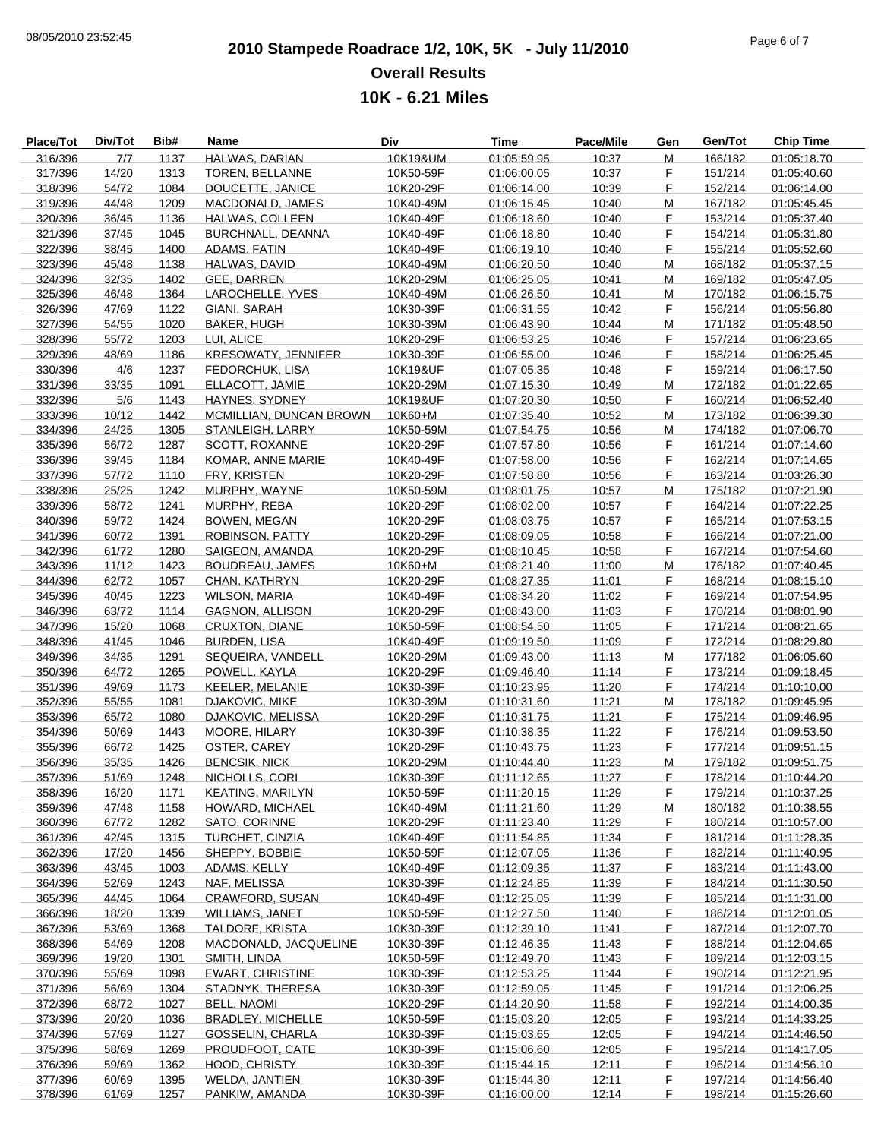## **2010 Stampede Roadrace 1/2, 10K, 5K - July 11/2010** 08/05/2010 23:52:45 Page 6 of 7 **Overall Results 10K - 6.21 Miles**

| Place/Tot          | Div/Tot | Bib# | Name                     | Div       | <b>Time</b> | Pace/Mile | Gen | Gen/Tot | <b>Chip Time</b> |
|--------------------|---------|------|--------------------------|-----------|-------------|-----------|-----|---------|------------------|
| 316/396            | 7/7     | 1137 | HALWAS, DARIAN           | 10K19&UM  | 01:05:59.95 | 10:37     | M   | 166/182 | 01:05:18.70      |
| 317/396            | 14/20   | 1313 | TOREN, BELLANNE          | 10K50-59F | 01:06:00.05 | 10:37     | F.  | 151/214 | 01:05:40.60      |
| 318/396            | 54/72   | 1084 | DOUCETTE, JANICE         | 10K20-29F | 01:06:14.00 | 10:39     | F   | 152/214 | 01:06:14.00      |
| 319/396            | 44/48   | 1209 | MACDONALD, JAMES         | 10K40-49M | 01:06:15.45 | 10:40     | M   | 167/182 | 01:05:45.45      |
| 320/396            | 36/45   | 1136 | HALWAS, COLLEEN          | 10K40-49F | 01:06:18.60 | 10:40     | F   | 153/214 | 01:05:37.40      |
| 321/396            | 37/45   | 1045 | BURCHNALL, DEANNA        | 10K40-49F | 01:06:18.80 | 10:40     | F   | 154/214 | 01:05:31.80      |
| 322/396            | 38/45   | 1400 | ADAMS, FATIN             | 10K40-49F | 01:06:19.10 | 10:40     | F   | 155/214 | 01:05:52.60      |
| 323/396            | 45/48   | 1138 | HALWAS, DAVID            | 10K40-49M | 01:06:20.50 | 10:40     | M   | 168/182 | 01:05:37.15      |
| 324/396            | 32/35   | 1402 | GEE, DARREN              | 10K20-29M | 01:06:25.05 | 10:41     | М   | 169/182 | 01:05:47.05      |
| 325/396            | 46/48   | 1364 | LAROCHELLE, YVES         | 10K40-49M | 01:06:26.50 | 10:41     | M   | 170/182 | 01:06:15.75      |
| 326/396            | 47/69   | 1122 | GIANI, SARAH             | 10K30-39F | 01:06:31.55 | 10:42     | F   | 156/214 | 01:05:56.80      |
| 327/396            | 54/55   | 1020 | <b>BAKER, HUGH</b>       | 10K30-39M | 01:06:43.90 | 10:44     | M   | 171/182 | 01:05:48.50      |
| 328/396            | 55/72   | 1203 | LUI, ALICE               | 10K20-29F | 01:06:53.25 | 10:46     | F   | 157/214 | 01:06:23.65      |
| 329/396            | 48/69   | 1186 | KRESOWATY, JENNIFER      | 10K30-39F | 01:06:55.00 | 10:46     | F   | 158/214 | 01:06:25.45      |
| 330/396            | 4/6     | 1237 | FEDORCHUK, LISA          | 10K19&UF  | 01:07:05.35 | 10:48     | F   | 159/214 | 01:06:17.50      |
| 331/396            | 33/35   | 1091 | ELLACOTT, JAMIE          | 10K20-29M | 01:07:15.30 | 10:49     | M   | 172/182 | 01:01:22.65      |
| 332/396            | 5/6     | 1143 | HAYNES, SYDNEY           | 10K19&UF  | 01:07:20.30 | 10:50     | F   | 160/214 | 01:06:52.40      |
| 333/396            | 10/12   | 1442 | MCMILLIAN, DUNCAN BROWN  | 10K60+M   | 01:07:35.40 | 10:52     | M   | 173/182 | 01:06:39.30      |
| 334/396            | 24/25   | 1305 | STANLEIGH, LARRY         | 10K50-59M | 01:07:54.75 | 10:56     | М   | 174/182 | 01:07:06.70      |
| 335/396            | 56/72   | 1287 | SCOTT, ROXANNE           | 10K20-29F | 01:07:57.80 | 10:56     | F   | 161/214 | 01:07:14.60      |
| 336/396            | 39/45   | 1184 | KOMAR, ANNE MARIE        | 10K40-49F | 01:07:58.00 | 10:56     | F   | 162/214 | 01:07:14.65      |
| 337/396            | 57/72   | 1110 | FRY, KRISTEN             | 10K20-29F | 01:07:58.80 | 10:56     | F   | 163/214 | 01:03:26.30      |
| 338/396            | 25/25   | 1242 | MURPHY, WAYNE            | 10K50-59M | 01:08:01.75 | 10:57     | М   | 175/182 | 01:07:21.90      |
| 339/396            | 58/72   | 1241 | MURPHY, REBA             | 10K20-29F | 01:08:02.00 | 10:57     | F   | 164/214 | 01:07:22.25      |
| 340/396            | 59/72   | 1424 | <b>BOWEN, MEGAN</b>      | 10K20-29F | 01:08:03.75 | 10:57     | F   | 165/214 |                  |
|                    |         | 1391 |                          |           |             |           | F   |         | 01:07:53.15      |
| 341/396            | 60/72   |      | <b>ROBINSON, PATTY</b>   | 10K20-29F | 01:08:09.05 | 10:58     | F   | 166/214 | 01:07:21.00      |
| 342/396<br>343/396 | 61/72   | 1280 | SAIGEON, AMANDA          | 10K20-29F | 01:08:10.45 | 10:58     | M   | 167/214 | 01:07:54.60      |
|                    | 11/12   | 1423 | <b>BOUDREAU, JAMES</b>   | 10K60+M   | 01:08:21.40 | 11:00     |     | 176/182 | 01:07:40.45      |
| 344/396            | 62/72   | 1057 | CHAN, KATHRYN            | 10K20-29F | 01:08:27.35 | 11:01     | F   | 168/214 | 01:08:15.10      |
| 345/396            | 40/45   | 1223 | <b>WILSON, MARIA</b>     | 10K40-49F | 01:08:34.20 | 11:02     | F   | 169/214 | 01:07:54.95      |
| 346/396            | 63/72   | 1114 | GAGNON, ALLISON          | 10K20-29F | 01:08:43.00 | 11:03     | F   | 170/214 | 01:08:01.90      |
| 347/396            | 15/20   | 1068 | <b>CRUXTON, DIANE</b>    | 10K50-59F | 01:08:54.50 | 11:05     | F   | 171/214 | 01:08:21.65      |
| 348/396            | 41/45   | 1046 | <b>BURDEN, LISA</b>      | 10K40-49F | 01:09:19.50 | 11:09     | F   | 172/214 | 01:08:29.80      |
| 349/396            | 34/35   | 1291 | SEQUEIRA, VANDELL        | 10K20-29M | 01:09:43.00 | 11:13     | M   | 177/182 | 01:06:05.60      |
| 350/396            | 64/72   | 1265 | POWELL, KAYLA            | 10K20-29F | 01:09:46.40 | 11:14     | F   | 173/214 | 01:09:18.45      |
| 351/396            | 49/69   | 1173 | KEELER, MELANIE          | 10K30-39F | 01:10:23.95 | 11:20     | F   | 174/214 | 01:10:10.00      |
| 352/396            | 55/55   | 1081 | DJAKOVIC, MIKE           | 10K30-39M | 01:10:31.60 | 11:21     | M   | 178/182 | 01:09:45.95      |
| 353/396            | 65/72   | 1080 | <b>DJAKOVIC, MELISSA</b> | 10K20-29F | 01:10:31.75 | 11:21     | F   | 175/214 | 01:09:46.95      |
| 354/396            | 50/69   | 1443 | MOORE, HILARY            | 10K30-39F | 01:10:38.35 | 11:22     | F   | 176/214 | 01:09:53.50      |
| 355/396            | 66/72   | 1425 | OSTER, CAREY             | 10K20-29F | 01:10:43.75 | 11:23     | F   | 177/214 | 01:09:51.15      |
| 356/396            | 35/35   | 1426 | <b>BENCSIK, NICK</b>     | 10K20-29M | 01:10:44.40 | 11:23     | M   | 179/182 | 01:09:51.75      |
| 357/396            | 51/69   | 1248 | NICHOLLS, CORI           | 10K30-39F | 01:11:12.65 | 11:27     | F   | 178/214 | 01:10:44.20      |
| 358/396            | 16/20   | 1171 | <b>KEATING, MARILYN</b>  | 10K50-59F | 01:11:20.15 | 11:29     | F   | 179/214 | 01:10:37.25      |
| 359/396            | 47/48   | 1158 | HOWARD, MICHAEL          | 10K40-49M | 01:11:21.60 | 11:29     | M   | 180/182 | 01:10:38.55      |
| 360/396            | 67/72   | 1282 | SATO, CORINNE            | 10K20-29F | 01:11:23.40 | 11:29     | F   | 180/214 | 01:10:57.00      |
| 361/396            | 42/45   | 1315 | TURCHET, CINZIA          | 10K40-49F | 01:11:54.85 | 11:34     | F   | 181/214 | 01:11:28.35      |
| 362/396            | 17/20   | 1456 | SHEPPY, BOBBIE           | 10K50-59F | 01:12:07.05 | 11:36     | F   | 182/214 | 01:11:40.95      |
| 363/396            | 43/45   | 1003 | ADAMS, KELLY             | 10K40-49F | 01:12:09.35 | 11:37     | F   | 183/214 | 01:11:43.00      |
| 364/396            | 52/69   | 1243 | NAF, MELISSA             | 10K30-39F | 01:12:24.85 | 11:39     | F   | 184/214 | 01:11:30.50      |
| 365/396            | 44/45   | 1064 | CRAWFORD, SUSAN          | 10K40-49F | 01:12:25.05 | 11:39     | F   | 185/214 | 01:11:31.00      |
| 366/396            | 18/20   | 1339 | WILLIAMS, JANET          | 10K50-59F | 01:12:27.50 | 11:40     | F   | 186/214 | 01:12:01.05      |
| 367/396            | 53/69   | 1368 | <b>TALDORF, KRISTA</b>   | 10K30-39F | 01:12:39.10 | 11:41     | F   | 187/214 | 01:12:07.70      |
| 368/396            | 54/69   | 1208 | MACDONALD, JACQUELINE    | 10K30-39F | 01:12:46.35 | 11:43     | F   | 188/214 | 01:12:04.65      |
| 369/396            | 19/20   | 1301 | SMITH, LINDA             | 10K50-59F | 01:12:49.70 | 11:43     | F   | 189/214 | 01:12:03.15      |
| 370/396            | 55/69   | 1098 | <b>EWART, CHRISTINE</b>  | 10K30-39F | 01:12:53.25 | 11:44     | F   | 190/214 | 01:12:21.95      |
| 371/396            | 56/69   | 1304 | STADNYK, THERESA         | 10K30-39F | 01:12:59.05 | 11:45     | F   | 191/214 | 01:12:06.25      |
| 372/396            | 68/72   | 1027 | BELL, NAOMI              | 10K20-29F | 01:14:20.90 | 11:58     | F   | 192/214 | 01:14:00.35      |
| 373/396            | 20/20   | 1036 | <b>BRADLEY, MICHELLE</b> | 10K50-59F | 01:15:03.20 | 12:05     | F   | 193/214 | 01:14:33.25      |
| 374/396            | 57/69   | 1127 | <b>GOSSELIN, CHARLA</b>  | 10K30-39F | 01:15:03.65 | 12:05     | F   | 194/214 | 01:14:46.50      |
| 375/396            | 58/69   | 1269 | PROUDFOOT, CATE          | 10K30-39F | 01:15:06.60 | 12:05     | F   | 195/214 | 01:14:17.05      |
| 376/396            | 59/69   | 1362 | HOOD, CHRISTY            | 10K30-39F | 01:15:44.15 | 12:11     | F   | 196/214 | 01:14:56.10      |
| 377/396            | 60/69   | 1395 | WELDA, JANTIEN           | 10K30-39F | 01:15:44.30 | 12:11     | F   | 197/214 | 01:14:56.40      |
| 378/396            | 61/69   | 1257 | PANKIW, AMANDA           | 10K30-39F | 01:16:00.00 | 12:14     | F.  | 198/214 | 01:15:26.60      |